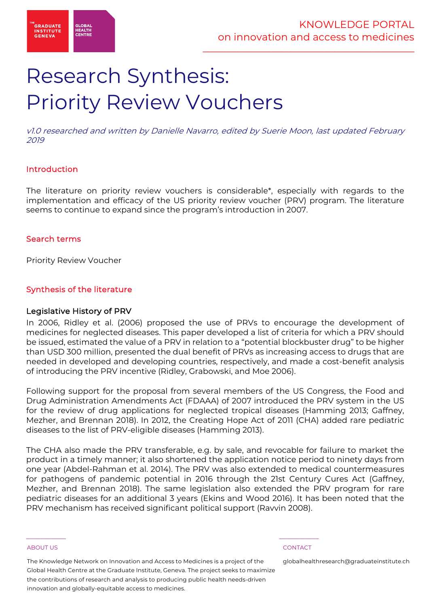

# Research Synthesis: Priority Review Vouchers

v1.0 researched and written by Danielle Navarro, edited by Suerie Moon, last updated February 2019

# Introduction

The literature on priority review vouchers is considerable\*, especially with regards to the implementation and efficacy of the US priority review voucher (PRV) program. The literature seems to continue to expand since the program's introduction in 2007.

# Search terms

Priority Review Voucher

# Synthesis of the literature

#### Legislative History of PRV

In 2006, Ridley et al. (2006) proposed the use of PRVs to encourage the development of medicines for neglected diseases. This paper developed a list of criteria for which a PRV should be issued, estimated the value of a PRV in relation to a "potential blockbuster drug" to be higher than USD 300 million, presented the dual benefit of PRVs as increasing access to drugs that are needed in developed and developing countries, respectively, and made a cost-benefit analysis of introducing the PRV incentive (Ridley, Grabowski, and Moe 2006).

Following support for the proposal from several members of the US Congress, the Food and Drug Administration Amendments Act (FDAAA) of 2007 introduced the PRV system in the US for the review of drug applications for neglected tropical diseases (Hamming 2013; Gaffney, Mezher, and Brennan 2018). In 2012, the Creating Hope Act of 2011 (CHA) added rare pediatric diseases to the list of PRV-eligible diseases (Hamming 2013).

The CHA also made the PRV transferable, e.g. by sale, and revocable for failure to market the product in a timely manner; it also shortened the application notice period to ninety days from one year (Abdel-Rahman et al. 2014). The PRV was also extended to medical countermeasures for pathogens of pandemic potential in 2016 through the 21st Century Cures Act (Gaffney, Mezher, and Brennan 2018). The same legislation also extended the PRV program for rare pediatric diseases for an additional 3 years (Ekins and Wood 2016). It has been noted that the PRV mechanism has received significant political support (Ravvin 2008).

#### ABOUT US CONTACT AND RESERVE THE RELEASE OF THE RELEASE OF THE RELEASE OF THE RELEASE OF THE RELEASE OF THE RELEASE OF THE RELEASE OF THE RELEASE OF THE RELEASE OF THE RELEASE OF THE RELEASE OF THE RELEASE OF THE RELEASE O

The Knowledge Network on Innovation and Access to Medicines is a project of the Global Health Centre at the Graduate Institute, Geneva. The project seeks to maximize the contributions of research and analysis to producing public health needs-driven innovation and globally-equitable access to medicines.

 $\frac{1}{2}$  , and the set of the set of the set of the set of the set of the set of the set of the set of the set of the set of the set of the set of the set of the set of the set of the set of the set of the set of the set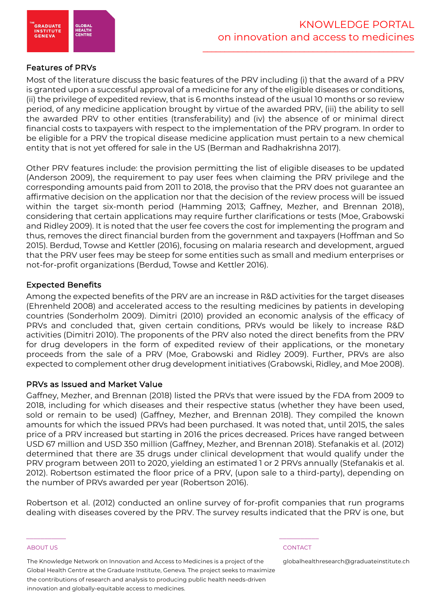

# Features of PRVs

Most of the literature discuss the basic features of the PRV including (i) that the award of a PRV is granted upon a successful approval of a medicine for any of the eligible diseases or conditions, (ii) the privilege of expedited review, that is 6 months instead of the usual 10 months or so review period, of any medicine application brought by virtue of the awarded PRV, (iii) the ability to sell the awarded PRV to other entities (transferability) and (iv) the absence of or minimal direct financial costs to taxpayers with respect to the implementation of the PRV program. In order to be eligible for a PRV the tropical disease medicine application must pertain to a new chemical entity that is not yet offered for sale in the US (Berman and Radhakrishna 2017).

Other PRV features include: the provision permitting the list of eligible diseases to be updated (Anderson 2009), the requirement to pay user fees when claiming the PRV privilege and the corresponding amounts paid from 2011 to 2018, the proviso that the PRV does not guarantee an affirmative decision on the application nor that the decision of the review process will be issued within the target six-month period (Hamming 2013; Gaffney, Mezher, and Brennan 2018), considering that certain applications may require further clarifications or tests (Moe, Grabowski and Ridley 2009). It is noted that the user fee covers the cost for implementing the program and thus, removes the direct financial burden from the government and taxpayers (Hoffman and So 2015). Berdud, Towse and Kettler (2016), focusing on malaria research and development, argued that the PRV user fees may be steep for some entities such as small and medium enterprises or not-for-profit organizations (Berdud, Towse and Kettler 2016).

# Expected Benefits

Among the expected benefits of the PRV are an increase in R&D activities for the target diseases (Ehrenheld 2008) and accelerated access to the resulting medicines by patients in developing countries (Sonderholm 2009). Dimitri (2010) provided an economic analysis of the efficacy of PRVs and concluded that, given certain conditions, PRVs would be likely to increase R&D activities (Dimitri 2010). The proponents of the PRV also noted the direct benefits from the PRV for drug developers in the form of expedited review of their applications, or the monetary proceeds from the sale of a PRV (Moe, Grabowski and Ridley 2009). Further, PRVs are also expected to complement other drug development initiatives (Grabowski, Ridley, and Moe 2008).

### PRVs as Issued and Market Value

Gaffney, Mezher, and Brennan (2018) listed the PRVs that were issued by the FDA from 2009 to 2018, including for which diseases and their respective status (whether they have been used, sold or remain to be used) (Gaffney, Mezher, and Brennan 2018). They compiled the known amounts for which the issued PRVs had been purchased. It was noted that, until 2015, the sales price of a PRV increased but starting in 2016 the prices decreased. Prices have ranged between USD 67 million and USD 350 million (Gaffney, Mezher, and Brennan 2018). Stefanakis et al. (2012) determined that there are 35 drugs under clinical development that would qualify under the PRV program between 2011 to 2020, yielding an estimated 1 or 2 PRVs annually (Stefanakis et al. 2012). Robertson estimated the floor price of a PRV, (upon sale to a third-party), depending on the number of PRVs awarded per year (Robertson 2016).

Robertson et al. (2012) conducted an online survey of for-profit companies that run programs dealing with diseases covered by the PRV. The survey results indicated that the PRV is one, but

#### ABOUT US CONTACT AND RESERVE THE RELEASE OF THE RELEASE OF THE RELEASE OF THE RELEASE OF THE RELEASE OF THE RELEASE OF THE RELEASE OF THE RELEASE OF THE RELEASE OF THE RELEASE OF THE RELEASE OF THE RELEASE OF THE RELEASE O

The Knowledge Network on Innovation and Access to Medicines is a project of the Global Health Centre at the Graduate Institute, Geneva. The project seeks to maximize the contributions of research and analysis to producing public health needs-driven innovation and globally-equitable access to medicines.

 $\frac{1}{2}$  , and the set of the set of the set of the set of the set of the set of the set of the set of the set of the set of the set of the set of the set of the set of the set of the set of the set of the set of the set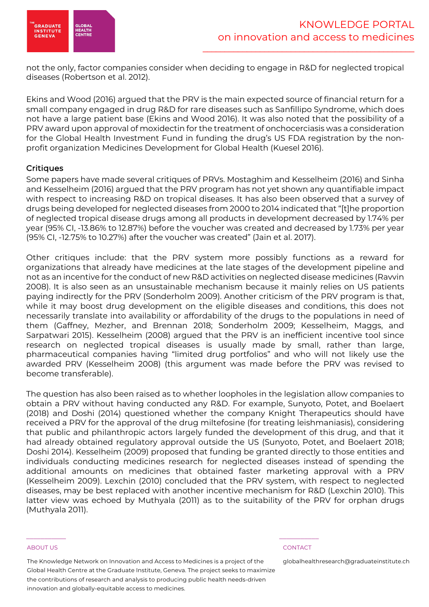

not the only, factor companies consider when deciding to engage in R&D for neglected tropical diseases (Robertson et al. 2012).

Ekins and Wood (2016) argued that the PRV is the main expected source of financial return for a small company engaged in drug R&D for rare diseases such as Sanfillipo Syndrome, which does not have a large patient base (Ekins and Wood 2016). It was also noted that the possibility of a PRV award upon approval of moxidectin for the treatment of onchocerciasis was a consideration for the Global Health Investment Fund in funding the drug's US FDA registration by the nonprofit organization Medicines Development for Global Health (Kuesel 2016).

# **Critiques**

Some papers have made several critiques of PRVs. Mostaghim and Kesselheim (2016) and Sinha and Kesselheim (2016) argued that the PRV program has not yet shown any quantifiable impact with respect to increasing R&D on tropical diseases. It has also been observed that a survey of drugs being developed for neglected diseases from 2000 to 2014 indicated that "[t]he proportion of neglected tropical disease drugs among all products in development decreased by 1.74% per year (95% CI, -13.86% to 12.87%) before the voucher was created and decreased by 1.73% per year (95% CI, -12.75% to 10.27%) after the voucher was created" (Jain et al. 2017).

Other critiques include: that the PRV system more possibly functions as a reward for organizations that already have medicines at the late stages of the development pipeline and not as an incentive for the conduct of new R&D activities on neglected disease medicines (Ravvin 2008). It is also seen as an unsustainable mechanism because it mainly relies on US patients paying indirectly for the PRV (Sonderholm 2009). Another criticism of the PRV program is that, while it may boost drug development on the eligible diseases and conditions, this does not necessarily translate into availability or affordability of the drugs to the populations in need of them (Gaffney, Mezher, and Brennan 2018; Sonderholm 2009; Kesselheim, Maggs, and Sarpatwari 2015). Kesselheim (2008) argued that the PRV is an inefficient incentive tool since research on neglected tropical diseases is usually made by small, rather than large, pharmaceutical companies having "limited drug portfolios" and who will not likely use the awarded PRV (Kesselheim 2008) (this argument was made before the PRV was revised to become transferable).

The question has also been raised as to whether loopholes in the legislation allow companies to obtain a PRV without having conducted any R&D. For example, Sunyoto, Potet, and Boelaert (2018) and Doshi (2014) questioned whether the company Knight Therapeutics should have received a PRV for the approval of the drug miltefosine (for treating leishmaniasis), considering that public and philanthropic actors largely funded the development of this drug, and that it had already obtained regulatory approval outside the US (Sunyoto, Potet, and Boelaert 2018; Doshi 2014). Kesselheim (2009) proposed that funding be granted directly to those entities and individuals conducting medicines research for neglected diseases instead of spending the additional amounts on medicines that obtained faster marketing approval with a PRV (Kesselheim 2009). Lexchin (2010) concluded that the PRV system, with respect to neglected diseases, may be best replaced with another incentive mechanism for R&D (Lexchin 2010). This latter view was echoed by Muthyala (2011) as to the suitability of the PRV for orphan drugs (Muthyala 2011).

#### ABOUT US CONTACT AND RESERVE THE RELEASE OF THE RELEASE OF THE RELEASE OF THE RELEASE OF THE RELEASE OF THE RELEASE OF THE RELEASE OF THE RELEASE OF THE RELEASE OF THE RELEASE OF THE RELEASE OF THE RELEASE OF THE RELEASE O

The Knowledge Network on Innovation and Access to Medicines is a project of the Global Health Centre at the Graduate Institute, Geneva. The project seeks to maximize the contributions of research and analysis to producing public health needs-driven innovation and globally-equitable access to medicines.

 $\frac{1}{2}$  , and the set of the set of the set of the set of the set of the set of the set of the set of the set of the set of the set of the set of the set of the set of the set of the set of the set of the set of the set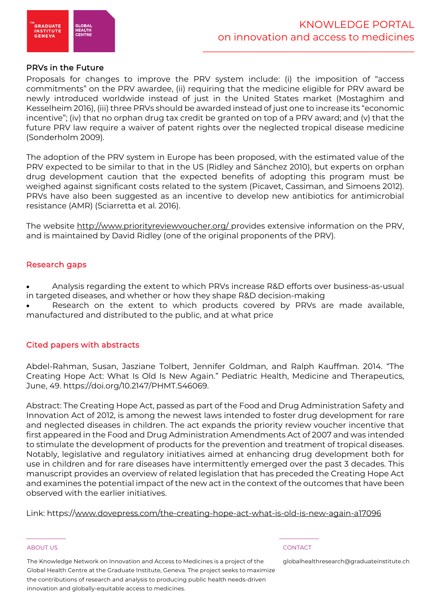

### PRVs in the Future

Proposals for changes to improve the PRV system include: (i) the imposition of "access commitments" on the PRV awardee, (ii) requiring that the medicine eligible for PRV award be newly introduced worldwide instead of just in the United States market (Mostaghim and Kesselheim 2016), (iii) three PRVs should be awarded instead of just one to increase its "economic incentive"; (iv) that no orphan drug tax credit be granted on top of a PRV award; and (v) that the future PRV law require a waiver of patent rights over the neglected tropical disease medicine (Sonderholm 2009).

The adoption of the PRV system in Europe has been proposed, with the estimated value of the PRV expected to be similar to that in the US (Ridley and Sánchez 2010), but experts on orphan drug development caution that the expected benefits of adopting this program must be weighed against significant costs related to the system (Picavet, Cassiman, and Simoens 2012). PRVs have also been suggested as an incentive to develop new antibiotics for antimicrobial resistance (AMR) (Sciarretta et al. 2016).

The website http://www.priorityreviewvoucher.org/ provides extensive information on the PRV, and is maintained by David Ridley (one of the original proponents of the PRV).

# Research gaps

• Analysis regarding the extent to which PRVs increase R&D efforts over business-as-usual in targeted diseases, and whether or how they shape R&D decision-making

Research on the extent to which products covered by PRVs are made available, manufactured and distributed to the public, and at what price

# Cited papers with abstracts

Abdel-Rahman, Susan, Jasziane Tolbert, Jennifer Goldman, and Ralph Kauffman. 2014. "The Creating Hope Act: What Is Old Is New Again." Pediatric Health, Medicine and Therapeutics, June, 49. https://doi.org/10.2147/PHMT.S46069.

Abstract: The Creating Hope Act, passed as part of the Food and Drug Administration Safety and Innovation Act of 2012, is among the newest laws intended to foster drug development for rare and neglected diseases in children. The act expands the priority review voucher incentive that first appeared in the Food and Drug Administration Amendments Act of 2007 and was intended to stimulate the development of products for the prevention and treatment of tropical diseases. Notably, legislative and regulatory initiatives aimed at enhancing drug development both for use in children and for rare diseases have intermittently emerged over the past 3 decades. This manuscript provides an overview of related legislation that has preceded the Creating Hope Act and examines the potential impact of the new act in the context of the outcomes that have been observed with the earlier initiatives.

Link: https://www.dovepress.com/the-creating-hope-act-what-is-old-is-new-again-a17096

#### ABOUT US CONTACT AND RESERVE THE RELEASE OF THE RELEASE OF THE RELEASE OF THE RELEASE OF THE RELEASE OF THE RELEASE OF THE RELEASE OF THE RELEASE OF THE RELEASE OF THE RELEASE OF THE RELEASE OF THE RELEASE OF THE RELEASE O

The Knowledge Network on Innovation and Access to Medicines is a project of the Global Health Centre at the Graduate Institute, Geneva. The project seeks to maximize the contributions of research and analysis to producing public health needs-driven innovation and globally-equitable access to medicines.

 $\frac{1}{2}$  , and the set of the set of the set of the set of the set of the set of the set of the set of the set of the set of the set of the set of the set of the set of the set of the set of the set of the set of the set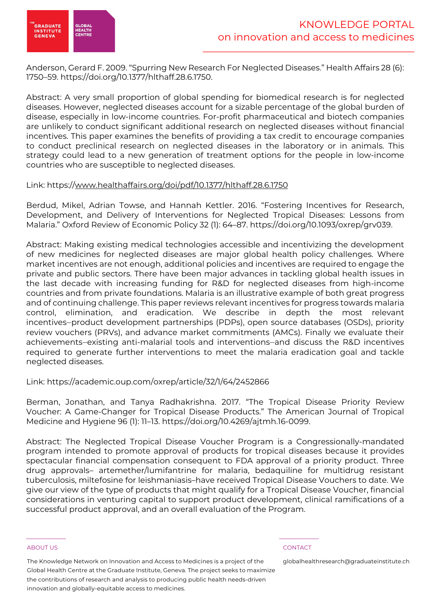

Anderson, Gerard F. 2009. "Spurring New Research For Neglected Diseases." Health Affairs 28 (6): 1750–59. https://doi.org/10.1377/hlthaff.28.6.1750.

Abstract: A very small proportion of global spending for biomedical research is for neglected diseases. However, neglected diseases account for a sizable percentage of the global burden of disease, especially in low-income countries. For-profit pharmaceutical and biotech companies are unlikely to conduct significant additional research on neglected diseases without financial incentives. This paper examines the benefits of providing a tax credit to encourage companies to conduct preclinical research on neglected diseases in the laboratory or in animals. This strategy could lead to a new generation of treatment options for the people in low-income countries who are susceptible to neglected diseases.

# Link: https://www.healthaffairs.org/doi/pdf/10.1377/hlthaff.28.6.1750

Berdud, Mikel, Adrian Towse, and Hannah Kettler. 2016. "Fostering Incentives for Research, Development, and Delivery of Interventions for Neglected Tropical Diseases: Lessons from Malaria." Oxford Review of Economic Policy 32 (1): 64–87. https://doi.org/10.1093/oxrep/grv039.

Abstract: Making existing medical technologies accessible and incentivizing the development of new medicines for neglected diseases are major global health policy challenges. Where market incentives are not enough, additional policies and incentives are required to engage the private and public sectors. There have been major advances in tackling global health issues in the last decade with increasing funding for R&D for neglected diseases from high-income countries and from private foundations. Malaria is an illustrative example of both great progress and of continuing challenge. This paper reviews relevant incentives for progress towards malaria control, elimination, and eradication. We describe in depth the most relevant incentives―product development partnerships (PDPs), open source databases (OSDs), priority review vouchers (PRVs), and advance market commitments (AMCs). Finally we evaluate their achievements―existing anti-malarial tools and interventions―and discuss the R&D incentives required to generate further interventions to meet the malaria eradication goal and tackle neglected diseases.

# Link: https://academic.oup.com/oxrep/article/32/1/64/2452866

Berman, Jonathan, and Tanya Radhakrishna. 2017. "The Tropical Disease Priority Review Voucher: A Game-Changer for Tropical Disease Products." The American Journal of Tropical Medicine and Hygiene 96 (1): 11–13. https://doi.org/10.4269/ajtmh.16-0099.

Abstract: The Neglected Tropical Disease Voucher Program is a Congressionally-mandated program intended to promote approval of products for tropical diseases because it provides spectacular financial compensation consequent to FDA approval of a priority product. Three drug approvals– artemether/lumifantrine for malaria, bedaquiline for multidrug resistant tuberculosis, miltefosine for leishmaniasis–have received Tropical Disease Vouchers to date. We give our view of the type of products that might qualify for a Tropical Disease Voucher, financial considerations in venturing capital to support product development, clinical ramifications of a successful product approval, and an overall evaluation of the Program.

#### ABOUT US CONTACT AND RESERVE THE RELEASE OF THE RELEASE OF THE RELEASE OF THE RELEASE OF THE RELEASE OF THE RELEASE OF THE RELEASE OF THE RELEASE OF THE RELEASE OF THE RELEASE OF THE RELEASE OF THE RELEASE OF THE RELEASE O

The Knowledge Network on Innovation and Access to Medicines is a project of the Global Health Centre at the Graduate Institute, Geneva. The project seeks to maximize the contributions of research and analysis to producing public health needs-driven innovation and globally-equitable access to medicines.

 $\frac{1}{2}$  , and the set of the set of the set of the set of the set of the set of the set of the set of the set of the set of the set of the set of the set of the set of the set of the set of the set of the set of the set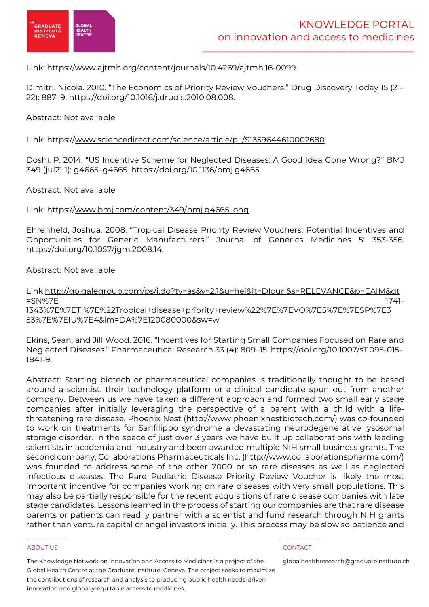

# Link: https://www.ajtmh.org/content/journals/10.4269/ajtmh.16-0099

Dimitri, Nicola. 2010. "The Economics of Priority Review Vouchers." Drug Discovery Today 15 (21– 22): 887–9. https://doi.org/10.1016/j.drudis.2010.08.008.

### Abstract: Not available

# Link: https://www.sciencedirect.com/science/article/pii/S1359644610002680

Doshi, P. 2014. "US Incentive Scheme for Neglected Diseases: A Good Idea Gone Wrong?" BMJ 349 (jul21 1): g4665–g4665. https://doi.org/10.1136/bmj.g4665.

### Abstract: Not available

# Link: https://www.bmj.com/content/349/bmj.g4665.long

Ehrenheld, Joshua. 2008. "Tropical Disease Priority Review Vouchers: Potential Incentives and Opportunities for Generic Manufacturers." Journal of Generics Medicines 5: 353-356. https://doi.org/10.1057/jgm.2008.14.

# Abstract: Not available

# Link:http://go.galegroup.com/ps/i.do?ty=as&v=2.1&u=hei&it=DIourl&s=RELEVANCE&p=EAIM&qt =SN%7E 1741-1343%7E%7ETI%7E%22Tropical+disease+priority+review%22%7E%7EVO%7E5%7E%7ESP%7E3

53%7E%7EIU%7E4&lm=DA%7E120080000&sw=w

Ekins, Sean, and Jill Wood. 2016. "Incentives for Starting Small Companies Focused on Rare and Neglected Diseases." Pharmaceutical Research 33 (4): 809–15. https://doi.org/10.1007/s11095-015- 1841-9.

Abstract: Starting biotech or pharmaceutical companies is traditionally thought to be based around a scientist, their technology platform or a clinical candidate spun out from another company. Between us we have taken a different approach and formed two small early stage companies after initially leveraging the perspective of a parent with a child with a lifethreatening rare disease. Phoenix Nest (http://www.phoenixnestbiotech.com/) was co-founded to work on treatments for Sanfilippo syndrome a devastating neurodegenerative lysosomal storage disorder. In the space of just over 3 years we have built up collaborations with leading scientists in academia and industry and been awarded multiple NIH small business grants. The second company, Collaborations Pharmaceuticals Inc. (http://www.collaborationspharma.com/) was founded to address some of the other 7000 or so rare diseases as well as neglected infectious diseases. The Rare Pediatric Disease Priority Review Voucher is likely the most important incentive for companies working on rare diseases with very small populations. This may also be partially responsible for the recent acquisitions of rare disease companies with late stage candidates. Lessons learned in the process of starting our companies are that rare disease parents or patients can readily partner with a scientist and fund research through NIH grants rather than venture capital or angel investors initially. This process may be slow so patience and

#### ABOUT US AND RESERVE TO A RESERVE THE SERVE TO A RESERVE THE SERVE TO A RESERVE THAT A RESERVE TO A RESERVE TO

The Knowledge Network on Innovation and Access to Medicines is a project of the Global Health Centre at the Graduate Institute, Geneva. The project seeks to maximize the contributions of research and analysis to producing public health needs-driven innovation and globally-equitable access to medicines.

 $\frac{1}{2}$  , and the set of the set of the set of the set of the set of the set of the set of the set of the set of the set of the set of the set of the set of the set of the set of the set of the set of the set of the set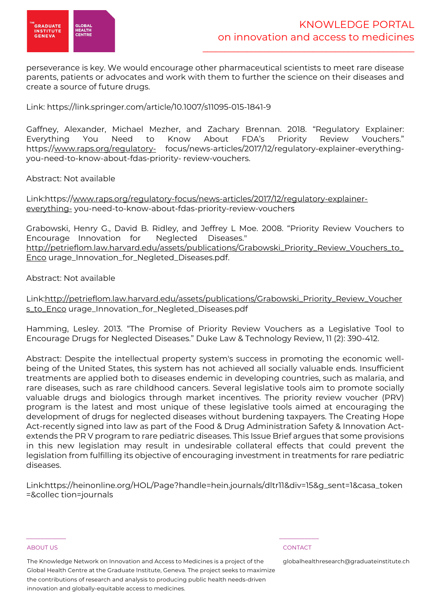

perseverance is key. We would encourage other pharmaceutical scientists to meet rare disease parents, patients or advocates and work with them to further the science on their diseases and create a source of future drugs.

Link: https://link.springer.com/article/10.1007/s11095-015-1841-9

Gaffney, Alexander, Michael Mezher, and Zachary Brennan. 2018. "Regulatory Explainer: Everything You Need to Know About FDA's Priority Review Vouchers." https://www.raps.org/regulatory- focus/news-articles/2017/12/regulatory-explainer-everythingyou-need-to-know-about-fdas-priority- review-vouchers.

Abstract: Not available

Link:https://www.raps.org/regulatory-focus/news-articles/2017/12/regulatory-explainereverything- you-need-to-know-about-fdas-priority-review-vouchers

Grabowski, Henry G., David B. Ridley, and Jeffrey L Moe. 2008. "Priority Review Vouchers to Encourage Innovation for Neglected Diseases." http://petrieflom.law.harvard.edu/assets/publications/Grabowski\_Priority\_Review\_Vouchers\_to\_ Enco urage\_Innovation\_for\_Negleted\_Diseases.pdf.

Abstract: Not available

Link:http://petrieflom.law.harvard.edu/assets/publications/Grabowski\_Priority\_Review\_Voucher s\_to\_Enco urage\_Innovation\_for\_Negleted\_Diseases.pdf

Hamming, Lesley. 2013. "The Promise of Priority Review Vouchers as a Legislative Tool to Encourage Drugs for Neglected Diseases." Duke Law & Technology Review, 11 (2): 390-412.

Abstract: Despite the intellectual property system's success in promoting the economic wellbeing of the United States, this system has not achieved all socially valuable ends. Insufficient treatments are applied both to diseases endemic in developing countries, such as malaria, and rare diseases, such as rare childhood cancers. Several legislative tools aim to promote socially valuable drugs and biologics through market incentives. The priority review voucher (PRV) program is the latest and most unique of these legislative tools aimed at encouraging the development of drugs for neglected diseases without burdening taxpayers. The Creating Hope Act-recently signed into law as part of the Food & Drug Administration Safety & Innovation Actextends the PR V program to rare pediatric diseases. This Issue Brief argues that some provisions in this new legislation may result in undesirable collateral effects that could prevent the legislation from fulfilling its objective of encouraging investment in treatments for rare pediatric diseases.

Link:https://heinonline.org/HOL/Page?handle=hein.journals/dltr11&div=15&g\_sent=1&casa\_token =&collec tion=journals

The Knowledge Network on Innovation and Access to Medicines is a project of the Global Health Centre at the Graduate Institute, Geneva. The project seeks to maximize the contributions of research and analysis to producing public health needs-driven innovation and globally-equitable access to medicines.

 $\frac{1}{2}$  , and the set of the set of the set of the set of the set of the set of the set of the set of the set of the set of the set of the set of the set of the set of the set of the set of the set of the set of the set

#### ABOUT US CONTACT AND RESERVE THE RELEASE OF THE RELEASE OF THE RELEASE OF THE RELEASE OF THE RELEASE OF THE RELEASE OF THE RELEASE OF THE RELEASE OF THE RELEASE OF THE RELEASE OF THE RELEASE OF THE RELEASE OF THE RELEASE O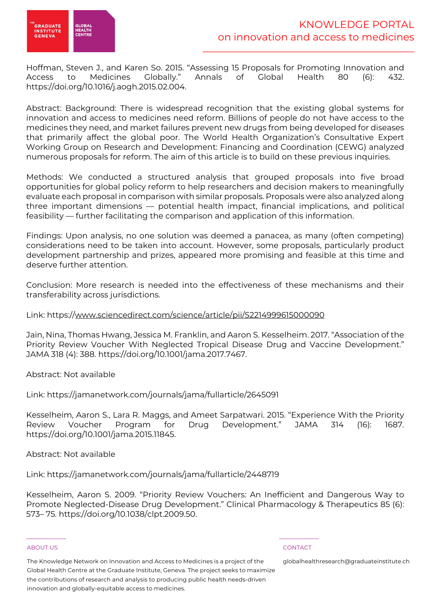

Hoffman, Steven J., and Karen So. 2015. "Assessing 15 Proposals for Promoting Innovation and Access to Medicines Globally." Annals of Global Health 80 (6): 432. https://doi.org/10.1016/j.aogh.2015.02.004.

Abstract: Background: There is widespread recognition that the existing global systems for innovation and access to medicines need reform. Billions of people do not have access to the medicines they need, and market failures prevent new drugs from being developed for diseases that primarily affect the global poor. The World Health Organization's Consultative Expert Working Group on Research and Development: Financing and Coordination (CEWG) analyzed numerous proposals for reform. The aim of this article is to build on these previous inquiries.

Methods: We conducted a structured analysis that grouped proposals into five broad opportunities for global policy reform to help researchers and decision makers to meaningfully evaluate each proposal in comparison with similar proposals. Proposals were also analyzed along three important dimensions — potential health impact, financial implications, and political feasibility — further facilitating the comparison and application of this information.

Findings: Upon analysis, no one solution was deemed a panacea, as many (often competing) considerations need to be taken into account. However, some proposals, particularly product development partnership and prizes, appeared more promising and feasible at this time and deserve further attention.

Conclusion: More research is needed into the effectiveness of these mechanisms and their transferability across jurisdictions.

# Link: https://www.sciencedirect.com/science/article/pii/S2214999615000090

Jain, Nina, Thomas Hwang, Jessica M. Franklin, and Aaron S. Kesselheim. 2017. "Association of the Priority Review Voucher With Neglected Tropical Disease Drug and Vaccine Development." JAMA 318 (4): 388. https://doi.org/10.1001/jama.2017.7467.

Abstract: Not available

Link: https://jamanetwork.com/journals/jama/fullarticle/2645091

Kesselheim, Aaron S., Lara R. Maggs, and Ameet Sarpatwari. 2015. "Experience With the Priority Review Voucher Program for Drug Development." JAMA 314 (16): 1687. https://doi.org/10.1001/jama.2015.11845.

Abstract: Not available

Link: https://jamanetwork.com/journals/jama/fullarticle/2448719

Kesselheim, Aaron S. 2009. "Priority Review Vouchers: An Inefficient and Dangerous Way to Promote Neglected-Disease Drug Development." Clinical Pharmacology & Therapeutics 85 (6): 573– 75. https://doi.org/10.1038/clpt.2009.50.

#### ABOUT US CONTACT AND RESERVE THE RELEASE OF THE RELEASE OF THE RELEASE OF THE RELEASE OF THE RELEASE OF THE RELEASE OF THE RELEASE OF THE RELEASE OF THE RELEASE OF THE RELEASE OF THE RELEASE OF THE RELEASE OF THE RELEASE O

The Knowledge Network on Innovation and Access to Medicines is a project of the Global Health Centre at the Graduate Institute, Geneva. The project seeks to maximize the contributions of research and analysis to producing public health needs-driven innovation and globally-equitable access to medicines.

 $\frac{1}{2}$  , and the set of the set of the set of the set of the set of the set of the set of the set of the set of the set of the set of the set of the set of the set of the set of the set of the set of the set of the set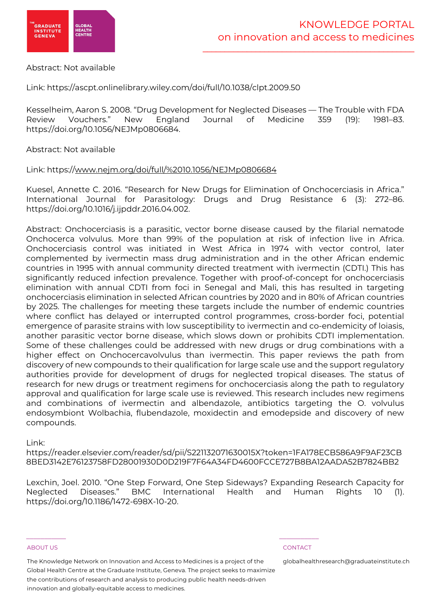

### Abstract: Not available

Link: https://ascpt.onlinelibrary.wiley.com/doi/full/10.1038/clpt.2009.50

Kesselheim, Aaron S. 2008. "Drug Development for Neglected Diseases — The Trouble with FDA Review Vouchers." New England Journal of Medicine 359 (19): 1981–83. https://doi.org/10.1056/NEJMp0806684.

Abstract: Not available

Link: https://www.nejm.org/doi/full/%2010.1056/NEJMp0806684

Kuesel, Annette C. 2016. "Research for New Drugs for Elimination of Onchocerciasis in Africa." International Journal for Parasitology: Drugs and Drug Resistance 6 (3): 272–86. https://doi.org/10.1016/j.ijpddr.2016.04.002.

Abstract: Onchocerciasis is a parasitic, vector borne disease caused by the filarial nematode Onchocerca volvulus. More than 99% of the population at risk of infection live in Africa. Onchocerciasis control was initiated in West Africa in 1974 with vector control, later complemented by ivermectin mass drug administration and in the other African endemic countries in 1995 with annual community directed treatment with ivermectin (CDTI.) This has significantly reduced infection prevalence. Together with proof-of-concept for onchocerciasis elimination with annual CDTI from foci in Senegal and Mali, this has resulted in targeting onchocerciasis elimination in selected African countries by 2020 and in 80% of African countries by 2025. The challenges for meeting these targets include the number of endemic countries where conflict has delayed or interrupted control programmes, cross-border foci, potential emergence of parasite strains with low susceptibility to ivermectin and co-endemicity of loiasis, another parasitic vector borne disease, which slows down or prohibits CDTI implementation. Some of these challenges could be addressed with new drugs or drug combinations with a higher effect on Onchocercavolvulus than ivermectin. This paper reviews the path from discovery of new compounds to their qualification for large scale use and the support regulatory authorities provide for development of drugs for neglected tropical diseases. The status of research for new drugs or treatment regimens for onchocerciasis along the path to regulatory approval and qualification for large scale use is reviewed. This research includes new regimens and combinations of ivermectin and albendazole, antibiotics targeting the O. volvulus endosymbiont Wolbachia, flubendazole, moxidectin and emodepside and discovery of new compounds.

Link:

https://reader.elsevier.com/reader/sd/pii/S221132071630015X?token=1FA178ECB586A9F9AF23CB 8BED3142E76123758FD28001930D0D219F7F64A34FD4600FCCE727B8BA12AADA52B7824BB2

Lexchin, Joel. 2010. "One Step Forward, One Step Sideways? Expanding Research Capacity for Neglected Diseases." BMC International Health and Human Rights 10 (1). https://doi.org/10.1186/1472-698X-10-20.

#### ABOUT US CONTACT AND RESERVE THE RELEASE OF THE RELEASE OF THE RELEASE OF THE RELEASE OF THE RELEASE OF THE RELEASE OF THE RELEASE OF THE RELEASE OF THE RELEASE OF THE RELEASE OF THE RELEASE OF THE RELEASE OF THE RELEASE O

The Knowledge Network on Innovation and Access to Medicines is a project of the Global Health Centre at the Graduate Institute, Geneva. The project seeks to maximize the contributions of research and analysis to producing public health needs-driven innovation and globally-equitable access to medicines.

 $\frac{1}{2}$  , and the set of the set of the set of the set of the set of the set of the set of the set of the set of the set of the set of the set of the set of the set of the set of the set of the set of the set of the set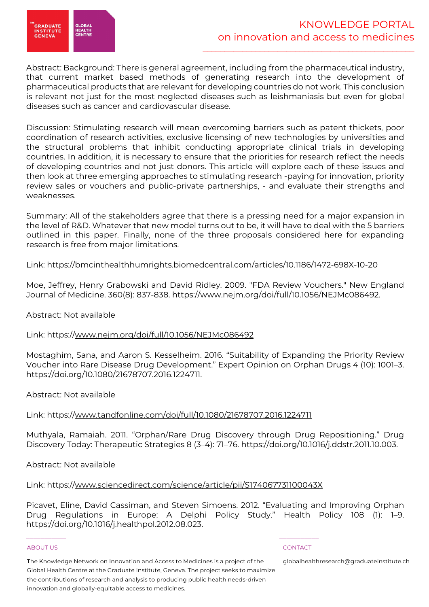

Abstract: Background: There is general agreement, including from the pharmaceutical industry, that current market based methods of generating research into the development of pharmaceutical products that are relevant for developing countries do not work. This conclusion is relevant not just for the most neglected diseases such as leishmaniasis but even for global diseases such as cancer and cardiovascular disease.

Discussion: Stimulating research will mean overcoming barriers such as patent thickets, poor coordination of research activities, exclusive licensing of new technologies by universities and the structural problems that inhibit conducting appropriate clinical trials in developing countries. In addition, it is necessary to ensure that the priorities for research reflect the needs of developing countries and not just donors. This article will explore each of these issues and then look at three emerging approaches to stimulating research -paying for innovation, priority review sales or vouchers and public-private partnerships, - and evaluate their strengths and weaknesses.

Summary: All of the stakeholders agree that there is a pressing need for a major expansion in the level of R&D. Whatever that new model turns out to be, it will have to deal with the 5 barriers outlined in this paper. Finally, none of the three proposals considered here for expanding research is free from major limitations.

Link: https://bmcinthealthhumrights.biomedcentral.com/articles/10.1186/1472-698X-10-20

Moe, Jeffrey, Henry Grabowski and David Ridley. 2009. "FDA Review Vouchers." New England Journal of Medicine. 360(8): 837-838. https://www.nejm.org/doi/full/10.1056/NEJMc086492.

### Abstract: Not available

Link: https://www.nejm.org/doi/full/10.1056/NEJMc086492

Mostaghim, Sana, and Aaron S. Kesselheim. 2016. "Suitability of Expanding the Priority Review Voucher into Rare Disease Drug Development." Expert Opinion on Orphan Drugs 4 (10): 1001–3. https://doi.org/10.1080/21678707.2016.1224711.

Abstract: Not available

# Link: https://www.tandfonline.com/doi/full/10.1080/21678707.2016.1224711

Muthyala, Ramaiah. 2011. "Orphan/Rare Drug Discovery through Drug Repositioning." Drug Discovery Today: Therapeutic Strategies 8 (3–4): 71–76. https://doi.org/10.1016/j.ddstr.2011.10.003.

Abstract: Not available

Link: https://www.sciencedirect.com/science/article/pii/S174067731100043X

 $\frac{1}{2}$  , and the set of the set of the set of the set of the set of the set of the set of the set of the set of the set of the set of the set of the set of the set of the set of the set of the set of the set of the set

Picavet, Eline, David Cassiman, and Steven Simoens. 2012. "Evaluating and Improving Orphan Drug Regulations in Europe: A Delphi Policy Study." Health Policy 108 (1): 1–9. https://doi.org/10.1016/j.healthpol.2012.08.023.

#### ABOUT US CONTACT AND RESERVE THE RELEASE OF THE RELEASE OF THE RELEASE OF THE RELEASE OF THE RELEASE OF THE RELEASE OF THE RELEASE OF THE RELEASE OF THE RELEASE OF THE RELEASE OF THE RELEASE OF THE RELEASE OF THE RELEASE O

The Knowledge Network on Innovation and Access to Medicines is a project of the Global Health Centre at the Graduate Institute, Geneva. The project seeks to maximize the contributions of research and analysis to producing public health needs-driven innovation and globally-equitable access to medicines.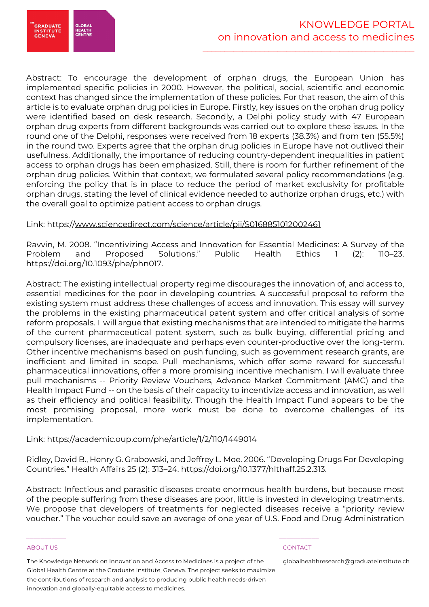

Abstract: To encourage the development of orphan drugs, the European Union has implemented specific policies in 2000. However, the political, social, scientific and economic context has changed since the implementation of these policies. For that reason, the aim of this article is to evaluate orphan drug policies in Europe. Firstly, key issues on the orphan drug policy were identified based on desk research. Secondly, a Delphi policy study with 47 European orphan drug experts from different backgrounds was carried out to explore these issues. In the round one of the Delphi, responses were received from 18 experts (38.3%) and from ten (55.5%) in the round two. Experts agree that the orphan drug policies in Europe have not outlived their usefulness. Additionally, the importance of reducing country-dependent inequalities in patient access to orphan drugs has been emphasized. Still, there is room for further refinement of the orphan drug policies. Within that context, we formulated several policy recommendations (e.g. enforcing the policy that is in place to reduce the period of market exclusivity for profitable orphan drugs, stating the level of clinical evidence needed to authorize orphan drugs, etc.) with the overall goal to optimize patient access to orphan drugs.

# Link: https://www.sciencedirect.com/science/article/pii/S0168851012002461

Ravvin, M. 2008. "Incentivizing Access and Innovation for Essential Medicines: A Survey of the Problem and Proposed Solutions." Public Health Ethics 1 (2): 110–23. https://doi.org/10.1093/phe/phn017.

Abstract: The existing intellectual property regime discourages the innovation of, and access to, essential medicines for the poor in developing countries. A successful proposal to reform the existing system must address these challenges of access and innovation. This essay will survey the problems in the existing pharmaceutical patent system and offer critical analysis of some reform proposals. I will argue that existing mechanisms that are intended to mitigate the harms of the current pharmaceutical patent system, such as bulk buying, differential pricing and compulsory licenses, are inadequate and perhaps even counter-productive over the long-term. Other incentive mechanisms based on push funding, such as government research grants, are inefficient and limited in scope. Pull mechanisms, which offer some reward for successful pharmaceutical innovations, offer a more promising incentive mechanism. I will evaluate three pull mechanisms -- Priority Review Vouchers, Advance Market Commitment (AMC) and the Health Impact Fund -- on the basis of their capacity to incentivize access and innovation, as well as their efficiency and political feasibility. Though the Health Impact Fund appears to be the most promising proposal, more work must be done to overcome challenges of its implementation.

### Link: https://academic.oup.com/phe/article/1/2/110/1449014

Ridley, David B., Henry G. Grabowski, and Jeffrey L. Moe. 2006. "Developing Drugs For Developing Countries." Health Affairs 25 (2): 313–24. https://doi.org/10.1377/hlthaff.25.2.313.

Abstract: Infectious and parasitic diseases create enormous health burdens, but because most of the people suffering from these diseases are poor, little is invested in developing treatments. We propose that developers of treatments for neglected diseases receive a "priority review voucher." The voucher could save an average of one year of U.S. Food and Drug Administration

#### ABOUT US CONTACT AND RESERVE THE RELEASE OF THE RELEASE OF THE RELEASE OF THE RELEASE OF THE RELEASE OF THE RELEASE OF THE RELEASE OF THE RELEASE OF THE RELEASE OF THE RELEASE OF THE RELEASE OF THE RELEASE OF THE RELEASE O

The Knowledge Network on Innovation and Access to Medicines is a project of the Global Health Centre at the Graduate Institute, Geneva. The project seeks to maximize the contributions of research and analysis to producing public health needs-driven innovation and globally-equitable access to medicines.

 $\frac{1}{2}$  , and the set of the set of the set of the set of the set of the set of the set of the set of the set of the set of the set of the set of the set of the set of the set of the set of the set of the set of the set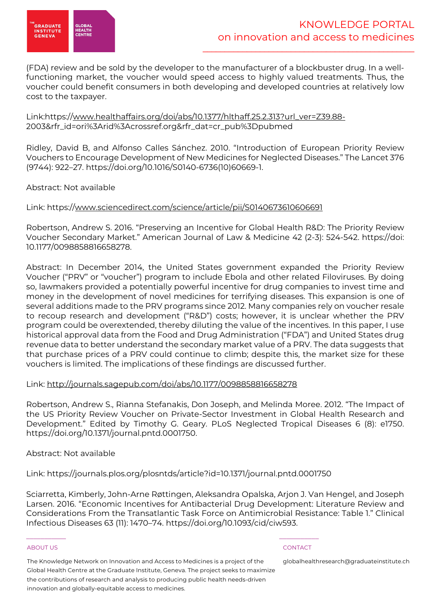

(FDA) review and be sold by the developer to the manufacturer of a blockbuster drug. In a wellfunctioning market, the voucher would speed access to highly valued treatments. Thus, the voucher could benefit consumers in both developing and developed countries at relatively low cost to the taxpayer.

Link:https://www.healthaffairs.org/doi/abs/10.1377/hlthaff.25.2.313?url\_ver=Z39.88- 2003&rfr\_id=ori%3Arid%3Acrossref.org&rfr\_dat=cr\_pub%3Dpubmed

Ridley, David B, and Alfonso Calles Sánchez. 2010. "Introduction of European Priority Review Vouchers to Encourage Development of New Medicines for Neglected Diseases." The Lancet 376 (9744): 922–27. https://doi.org/10.1016/S0140-6736(10)60669-1.

# Abstract: Not available

# Link: https://www.sciencedirect.com/science/article/pii/S0140673610606691

Robertson, Andrew S. 2016. "Preserving an Incentive for Global Health R&D: The Priority Review Voucher Secondary Market." American Journal of Law & Medicine 42 (2-3): 524-542. https://doi: 10.1177/0098858816658278.

Abstract: In December 2014, the United States government expanded the Priority Review Voucher ("PRV" or "voucher") program to include Ebola and other related Filoviruses. By doing so, lawmakers provided a potentially powerful incentive for drug companies to invest time and money in the development of novel medicines for terrifying diseases. This expansion is one of several additions made to the PRV programs since 2012. Many companies rely on voucher resale to recoup research and development ("R&D") costs; however, it is unclear whether the PRV program could be overextended, thereby diluting the value of the incentives. In this paper, I use historical approval data from the Food and Drug Administration ("FDA") and United States drug revenue data to better understand the secondary market value of a PRV. The data suggests that that purchase prices of a PRV could continue to climb; despite this, the market size for these vouchers is limited. The implications of these findings are discussed further.

### Link: http://journals.sagepub.com/doi/abs/10.1177/0098858816658278

Robertson, Andrew S., Rianna Stefanakis, Don Joseph, and Melinda Moree. 2012. "The Impact of the US Priority Review Voucher on Private-Sector Investment in Global Health Research and Development." Edited by Timothy G. Geary. PLoS Neglected Tropical Diseases 6 (8): e1750. https://doi.org/10.1371/journal.pntd.0001750.

Abstract: Not available

Link: https://journals.plos.org/plosntds/article?id=10.1371/journal.pntd.0001750

 $\frac{1}{2}$  , and the set of the set of the set of the set of the set of the set of the set of the set of the set of the set of the set of the set of the set of the set of the set of the set of the set of the set of the set

Sciarretta, Kimberly, John-Arne Røttingen, Aleksandra Opalska, Arjon J. Van Hengel, and Joseph Larsen. 2016. "Economic Incentives for Antibacterial Drug Development: Literature Review and Considerations From the Transatlantic Task Force on Antimicrobial Resistance: Table 1." Clinical Infectious Diseases 63 (11): 1470–74. https://doi.org/10.1093/cid/ciw593.

#### ABOUT US CONTACT AND RESERVE THE RELEASE OF THE RELEASE OF THE RELEASE OF THE RELEASE OF THE RELEASE OF THE RELEASE OF THE RELEASE OF THE RELEASE OF THE RELEASE OF THE RELEASE OF THE RELEASE OF THE RELEASE OF THE RELEASE O

The Knowledge Network on Innovation and Access to Medicines is a project of the Global Health Centre at the Graduate Institute, Geneva. The project seeks to maximize the contributions of research and analysis to producing public health needs-driven innovation and globally-equitable access to medicines.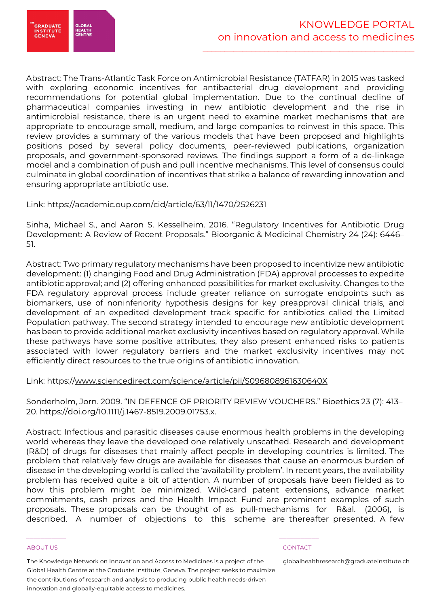

Abstract: The Trans-Atlantic Task Force on Antimicrobial Resistance (TATFAR) in 2015 was tasked with exploring economic incentives for antibacterial drug development and providing recommendations for potential global implementation. Due to the continual decline of pharmaceutical companies investing in new antibiotic development and the rise in antimicrobial resistance, there is an urgent need to examine market mechanisms that are appropriate to encourage small, medium, and large companies to reinvest in this space. This review provides a summary of the various models that have been proposed and highlights positions posed by several policy documents, peer-reviewed publications, organization proposals, and government-sponsored reviews. The findings support a form of a de-linkage model and a combination of push and pull incentive mechanisms. This level of consensus could culminate in global coordination of incentives that strike a balance of rewarding innovation and ensuring appropriate antibiotic use.

# Link: https://academic.oup.com/cid/article/63/11/1470/2526231

Sinha, Michael S., and Aaron S. Kesselheim. 2016. "Regulatory Incentives for Antibiotic Drug Development: A Review of Recent Proposals." Bioorganic & Medicinal Chemistry 24 (24): 6446– 51.

Abstract: Two primary regulatory mechanisms have been proposed to incentivize new antibiotic development: (1) changing Food and Drug Administration (FDA) approval processes to expedite antibiotic approval; and (2) offering enhanced possibilities for market exclusivity. Changes to the FDA regulatory approval process include greater reliance on surrogate endpoints such as biomarkers, use of noninferiority hypothesis designs for key preapproval clinical trials, and development of an expedited development track specific for antibiotics called the Limited Population pathway. The second strategy intended to encourage new antibiotic development has been to provide additional market exclusivity incentives based on regulatory approval. While these pathways have some positive attributes, they also present enhanced risks to patients associated with lower regulatory barriers and the market exclusivity incentives may not efficiently direct resources to the true origins of antibiotic innovation.

### Link: https://www.sciencedirect.com/science/article/pii/S096808961630640X

Sonderholm, Jorn. 2009. "IN DEFENCE OF PRIORITY REVIEW VOUCHERS." Bioethics 23 (7): 413– 20. https://doi.org/10.1111/j.1467-8519.2009.01753.x.

Abstract: Infectious and parasitic diseases cause enormous health problems in the developing world whereas they leave the developed one relatively unscathed. Research and development (R&D) of drugs for diseases that mainly affect people in developing countries is limited. The problem that relatively few drugs are available for diseases that cause an enormous burden of disease in the developing world is called the 'availability problem'. In recent years, the availability problem has received quite a bit of attention. A number of proposals have been fielded as to how this problem might be minimized. Wild-card patent extensions, advance market commitments, cash prizes and the Health Impact Fund are prominent examples of such proposals. These proposals can be thought of as pull-mechanisms for R&al. (2006), is described. A number of objections to this scheme are thereafter presented. A few

#### ABOUT US CONTACT AND RESERVE THE RELEASE OF THE RELEASE OF THE RELEASE OF THE RELEASE OF THE RELEASE OF THE RELEASE OF THE RELEASE OF THE RELEASE OF THE RELEASE OF THE RELEASE OF THE RELEASE OF THE RELEASE OF THE RELEASE O

The Knowledge Network on Innovation and Access to Medicines is a project of the Global Health Centre at the Graduate Institute, Geneva. The project seeks to maximize the contributions of research and analysis to producing public health needs-driven innovation and globally-equitable access to medicines.

 $\frac{1}{2}$  , and the set of the set of the set of the set of the set of the set of the set of the set of the set of the set of the set of the set of the set of the set of the set of the set of the set of the set of the set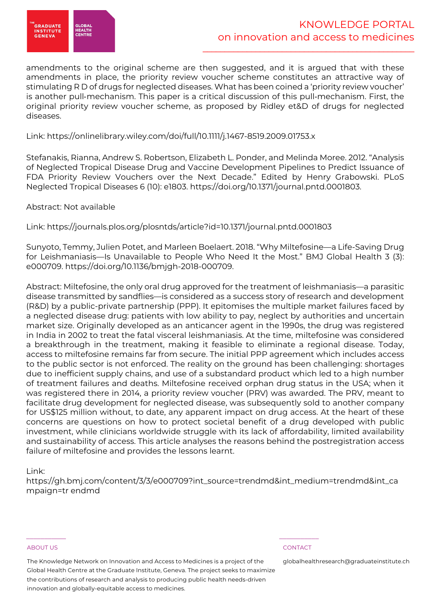

amendments to the original scheme are then suggested, and it is argued that with these amendments in place, the priority review voucher scheme constitutes an attractive way of stimulating R D of drugs for neglected diseases. What has been coined a 'priority review voucher' is another pull-mechanism. This paper is a critical discussion of this pull-mechanism. First, the original priority review voucher scheme, as proposed by Ridley et&D of drugs for neglected diseases.

### Link: https://onlinelibrary.wiley.com/doi/full/10.1111/j.1467-8519.2009.01753.x

Stefanakis, Rianna, Andrew S. Robertson, Elizabeth L. Ponder, and Melinda Moree. 2012. "Analysis of Neglected Tropical Disease Drug and Vaccine Development Pipelines to Predict Issuance of FDA Priority Review Vouchers over the Next Decade." Edited by Henry Grabowski. PLoS Neglected Tropical Diseases 6 (10): e1803. https://doi.org/10.1371/journal.pntd.0001803.

### Abstract: Not available

Link: https://journals.plos.org/plosntds/article?id=10.1371/journal.pntd.0001803

Sunyoto, Temmy, Julien Potet, and Marleen Boelaert. 2018. "Why Miltefosine—a Life-Saving Drug for Leishmaniasis—Is Unavailable to People Who Need It the Most." BMJ Global Health 3 (3): e000709. https://doi.org/10.1136/bmjgh-2018-000709.

Abstract: Miltefosine, the only oral drug approved for the treatment of leishmaniasis—a parasitic disease transmitted by sandflies—is considered as a success story of research and development (R&D) by a public-private partnership (PPP). It epitomises the multiple market failures faced by a neglected disease drug: patients with low ability to pay, neglect by authorities and uncertain market size. Originally developed as an anticancer agent in the 1990s, the drug was registered in India in 2002 to treat the fatal visceral leishmaniasis. At the time, miltefosine was considered a breakthrough in the treatment, making it feasible to eliminate a regional disease. Today, access to miltefosine remains far from secure. The initial PPP agreement which includes access to the public sector is not enforced. The reality on the ground has been challenging: shortages due to inefficient supply chains, and use of a substandard product which led to a high number of treatment failures and deaths. Miltefosine received orphan drug status in the USA; when it was registered there in 2014, a priority review voucher (PRV) was awarded. The PRV, meant to facilitate drug development for neglected disease, was subsequently sold to another company for US\$125 million without, to date, any apparent impact on drug access. At the heart of these concerns are questions on how to protect societal benefit of a drug developed with public investment, while clinicians worldwide struggle with its lack of affordability, limited availability and sustainability of access. This article analyses the reasons behind the postregistration access failure of miltefosine and provides the lessons learnt.

### Link:

https://gh.bmj.com/content/3/3/e000709?int\_source=trendmd&int\_medium=trendmd&int\_ca mpaign=tr endmd

#### ABOUT US CONTACT AND A RESERVE AND LODGED AT A RESERVE AND LODGED AT A RESERVE AND LODGED AT A RESERVE AND LODGED AT A RESERVE AND LODGED AT A RESERVE AND LODGED AT A RESERVE AND LODGED AT A RESERVE AND LODGED AT A RESERVE

The Knowledge Network on Innovation and Access to Medicines is a project of the Global Health Centre at the Graduate Institute, Geneva. The project seeks to maximize the contributions of research and analysis to producing public health needs-driven innovation and globally-equitable access to medicines.

 $\frac{1}{2}$  , and the set of the set of the set of the set of the set of the set of the set of the set of the set of the set of the set of the set of the set of the set of the set of the set of the set of the set of the set